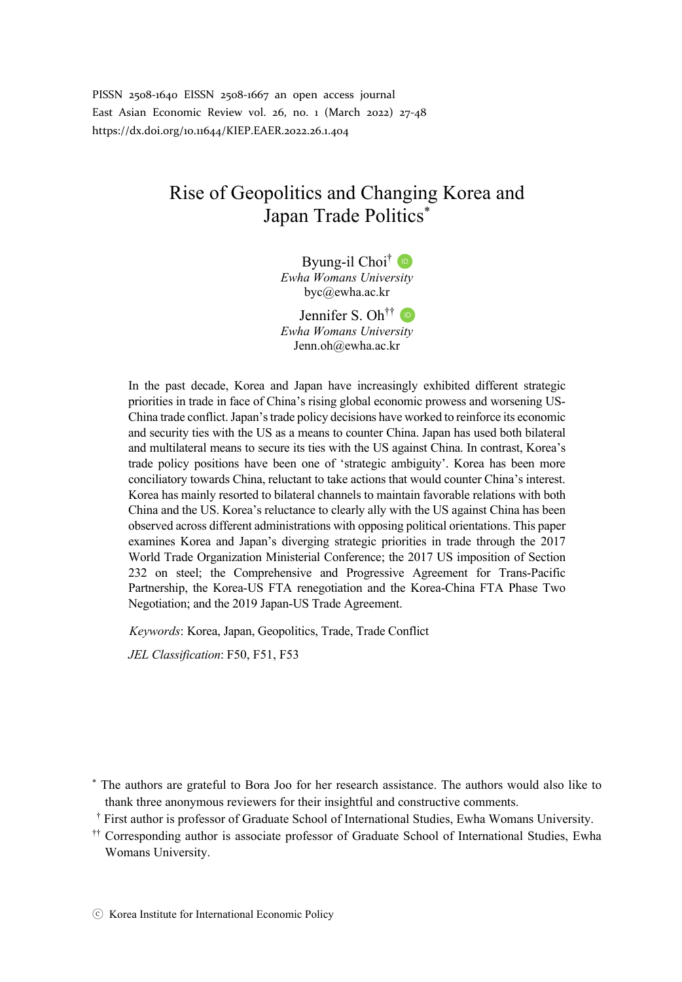PISSN 2508-1640 EISSN 2508-1667 an open access journal East Asian Economic Review vol. 26, no. 1 (March 2022) 27-48 https://dx.doi.org/10.11644/KIEP.EAER.2022.26.1.404

# Rise of Geopolitics and Changing Korea and Japan Trade Politics\*

Byung-il Choi<sup>†</sup> *Ewha Womans University* byc@ewha.ac.kr

Jennifer S. Oh<sup>††</sup> *Ewha Womans University* Jenn.oh@ewha.ac.kr

In the past decade, Korea and Japan have increasingly exhibited different strategic priorities in trade in face of China's rising global economic prowess and worsening US-China trade conflict. Japan's trade policy decisions have worked to reinforce its economic and security ties with the US as a means to counter China. Japan has used both bilateral and multilateral means to secure its ties with the US against China. In contrast, Korea's trade policy positions have been one of 'strategic ambiguity'. Korea has been more conciliatory towards China, reluctant to take actions that would counter China's interest. Korea has mainly resorted to bilateral channels to maintain favorable relations with both China and the US. Korea's reluctance to clearly ally with the US against China has been observed across different administrations with opposing political orientations. This paper examines Korea and Japan's diverging strategic priorities in trade through the 2017 World Trade Organization Ministerial Conference; the 2017 US imposition of Section 232 on steel; the Comprehensive and Progressive Agreement for Trans-Pacific Partnership, the Korea-US FTA renegotiation and the Korea-China FTA Phase Two Negotiation; and the 2019 Japan-US Trade Agreement.

*Keywords*: Korea, Japan, Geopolitics, Trade, Trade Conflict

*JEL Classification*: F50, F51, F53

\* The authors are grateful to Bora Joo for her research assistance. The authors would also like to thank three anonymous reviewers for their insightful and constructive comments.

- †† First author is professor of Graduate School of International Studies, Ewha Womans University.
- †† Corresponding author is associate professor of Graduate School of International Studies, Ewha Womans University.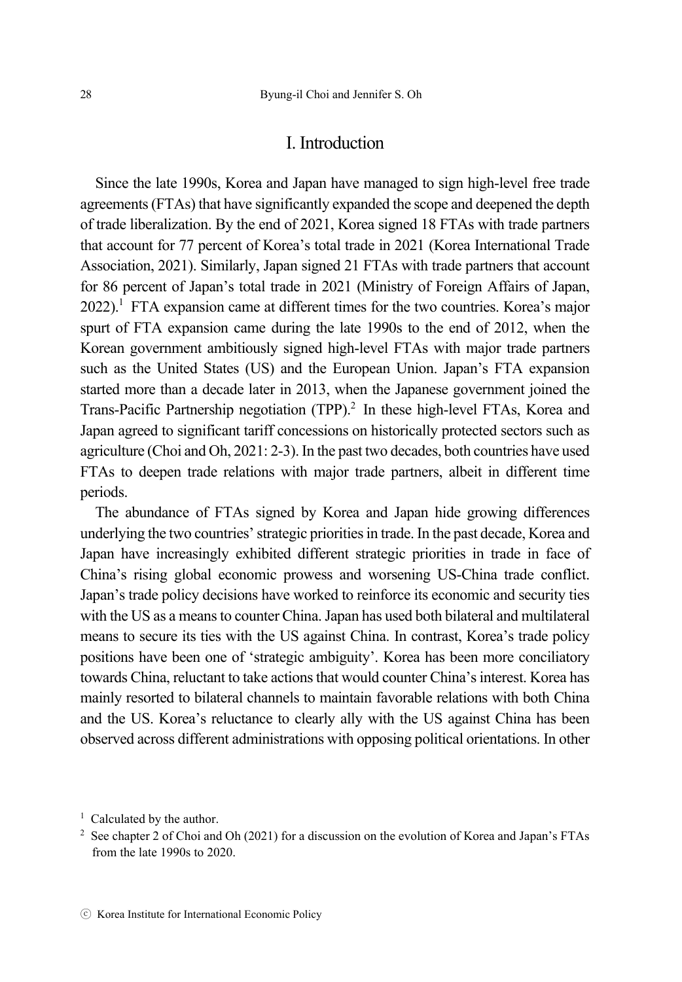### I. Introduction

Since the late 1990s, Korea and Japan have managed to sign high-level free trade agreements (FTAs) that have significantly expanded the scope and deepened the depth of trade liberalization. By the end of 2021, Korea signed 18 FTAs with trade partners that account for 77 percent of Korea's total trade in 2021 (Korea International Trade Association, 2021). Similarly, Japan signed 21 FTAs with trade partners that account for 86 percent of Japan's total trade in 2021 (Ministry of Foreign Affairs of Japan, 2022).<sup>1</sup> FTA expansion came at different times for the two countries. Korea's major spurt of FTA expansion came during the late 1990s to the end of 2012, when the Korean government ambitiously signed high-level FTAs with major trade partners such as the United States (US) and the European Union. Japan's FTA expansion started more than a decade later in 2013, when the Japanese government joined the Trans-Pacific Partnership negotiation (TPP).<sup>2</sup> In these high-level FTAs, Korea and Japan agreed to significant tariff concessions on historically protected sectors such as agriculture (Choi and Oh, 2021: 2-3). In the past two decades, both countries have used FTAs to deepen trade relations with major trade partners, albeit in different time periods.

The abundance of FTAs signed by Korea and Japan hide growing differences underlying the two countries' strategic priorities in trade. In the past decade, Korea and Japan have increasingly exhibited different strategic priorities in trade in face of China's rising global economic prowess and worsening US-China trade conflict. Japan's trade policy decisions have worked to reinforce its economic and security ties with the US as a means to counter China. Japan has used both bilateral and multilateral means to secure its ties with the US against China. In contrast, Korea's trade policy positions have been one of 'strategic ambiguity'. Korea has been more conciliatory towards China, reluctant to take actions that would counter China's interest. Korea has mainly resorted to bilateral channels to maintain favorable relations with both China and the US. Korea's reluctance to clearly ally with the US against China has been observed across different administrations with opposing political orientations. In other

<sup>&</sup>lt;sup>1</sup> Calculated by the author.

<sup>2</sup> See chapter 2 of Choi and Oh (2021) for a discussion on the evolution of Korea and Japan's FTAs from the late 1990s to 2020.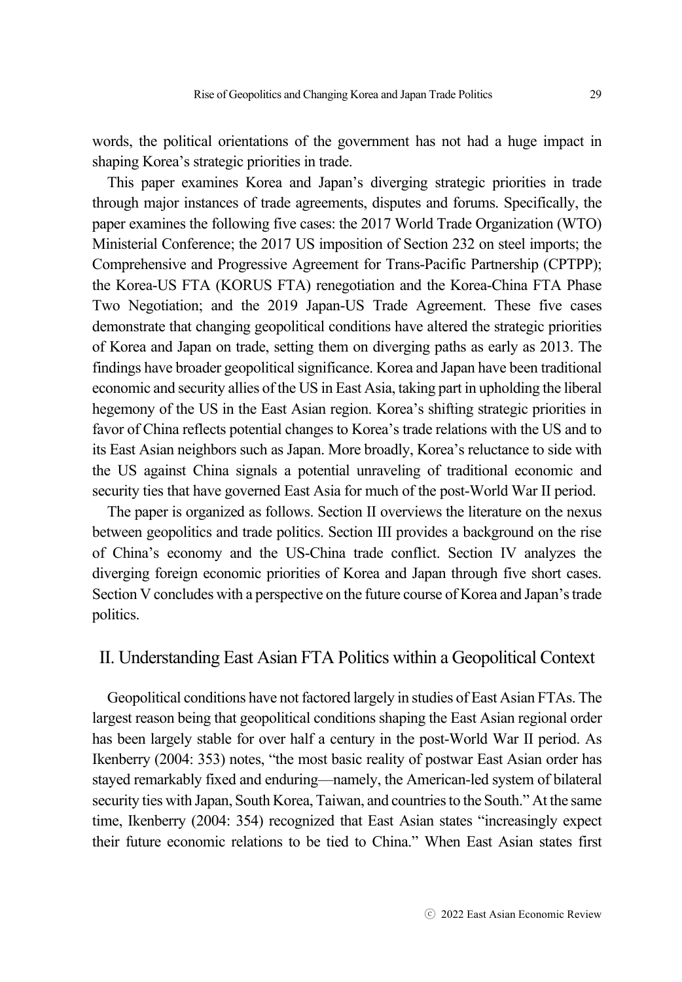words, the political orientations of the government has not had a huge impact in shaping Korea's strategic priorities in trade.

This paper examines Korea and Japan's diverging strategic priorities in trade through major instances of trade agreements, disputes and forums. Specifically, the paper examines the following five cases: the 2017 World Trade Organization (WTO) Ministerial Conference; the 2017 US imposition of Section 232 on steel imports; the Comprehensive and Progressive Agreement for Trans-Pacific Partnership (CPTPP); the Korea-US FTA (KORUS FTA) renegotiation and the Korea-China FTA Phase Two Negotiation; and the 2019 Japan-US Trade Agreement. These five cases demonstrate that changing geopolitical conditions have altered the strategic priorities of Korea and Japan on trade, setting them on diverging paths as early as 2013. The findings have broader geopolitical significance. Korea and Japan have been traditional economic and security allies of the US in East Asia, taking part in upholding the liberal hegemony of the US in the East Asian region. Korea's shifting strategic priorities in favor of China reflects potential changes to Korea's trade relations with the US and to its East Asian neighbors such as Japan. More broadly, Korea's reluctance to side with the US against China signals a potential unraveling of traditional economic and security ties that have governed East Asia for much of the post-World War II period.

The paper is organized as follows. Section II overviews the literature on the nexus between geopolitics and trade politics. Section III provides a background on the rise of China's economy and the US-China trade conflict. Section IV analyzes the diverging foreign economic priorities of Korea and Japan through five short cases. Section V concludes with a perspective on the future course of Korea and Japan's trade politics.

# II. Understanding East Asian FTA Politics within a Geopolitical Context

Geopolitical conditions have not factored largely in studies of East Asian FTAs. The largest reason being that geopolitical conditions shaping the East Asian regional order has been largely stable for over half a century in the post-World War II period. As Ikenberry (2004: 353) notes, "the most basic reality of postwar East Asian order has stayed remarkably fixed and enduring—namely, the American-led system of bilateral security ties with Japan, South Korea, Taiwan, and countries to the South." At the same time, Ikenberry (2004: 354) recognized that East Asian states "increasingly expect their future economic relations to be tied to China." When East Asian states first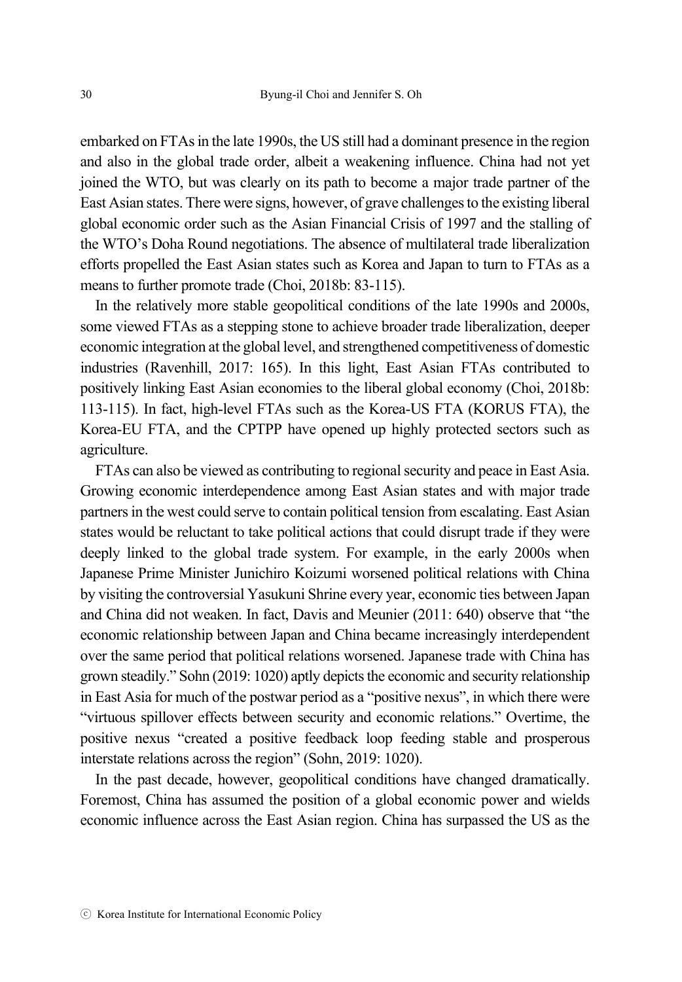embarked on FTAs in the late 1990s, the US still had a dominant presence in the region and also in the global trade order, albeit a weakening influence. China had not yet joined the WTO, but was clearly on its path to become a major trade partner of the East Asian states. There were signs, however, of grave challenges to the existing liberal global economic order such as the Asian Financial Crisis of 1997 and the stalling of the WTO's Doha Round negotiations. The absence of multilateral trade liberalization efforts propelled the East Asian states such as Korea and Japan to turn to FTAs as a means to further promote trade (Choi, 2018b: 83-115).

In the relatively more stable geopolitical conditions of the late 1990s and 2000s, some viewed FTAs as a stepping stone to achieve broader trade liberalization, deeper economic integration at the global level, and strengthened competitiveness of domestic industries (Ravenhill, 2017: 165). In this light, East Asian FTAs contributed to positively linking East Asian economies to the liberal global economy (Choi, 2018b: 113-115). In fact, high-level FTAs such as the Korea-US FTA (KORUS FTA), the Korea-EU FTA, and the CPTPP have opened up highly protected sectors such as agriculture.

FTAs can also be viewed as contributing to regional security and peace in East Asia. Growing economic interdependence among East Asian states and with major trade partners in the west could serve to contain political tension from escalating. East Asian states would be reluctant to take political actions that could disrupt trade if they were deeply linked to the global trade system. For example, in the early 2000s when Japanese Prime Minister Junichiro Koizumi worsened political relations with China by visiting the controversial Yasukuni Shrine every year, economic ties between Japan and China did not weaken. In fact, Davis and Meunier (2011: 640) observe that "the economic relationship between Japan and China became increasingly interdependent over the same period that political relations worsened. Japanese trade with China has grown steadily." Sohn (2019: 1020) aptly depicts the economic and security relationship in East Asia for much of the postwar period as a "positive nexus", in which there were "virtuous spillover effects between security and economic relations." Overtime, the positive nexus "created a positive feedback loop feeding stable and prosperous interstate relations across the region" (Sohn, 2019: 1020).

In the past decade, however, geopolitical conditions have changed dramatically. Foremost, China has assumed the position of a global economic power and wields economic influence across the East Asian region. China has surpassed the US as the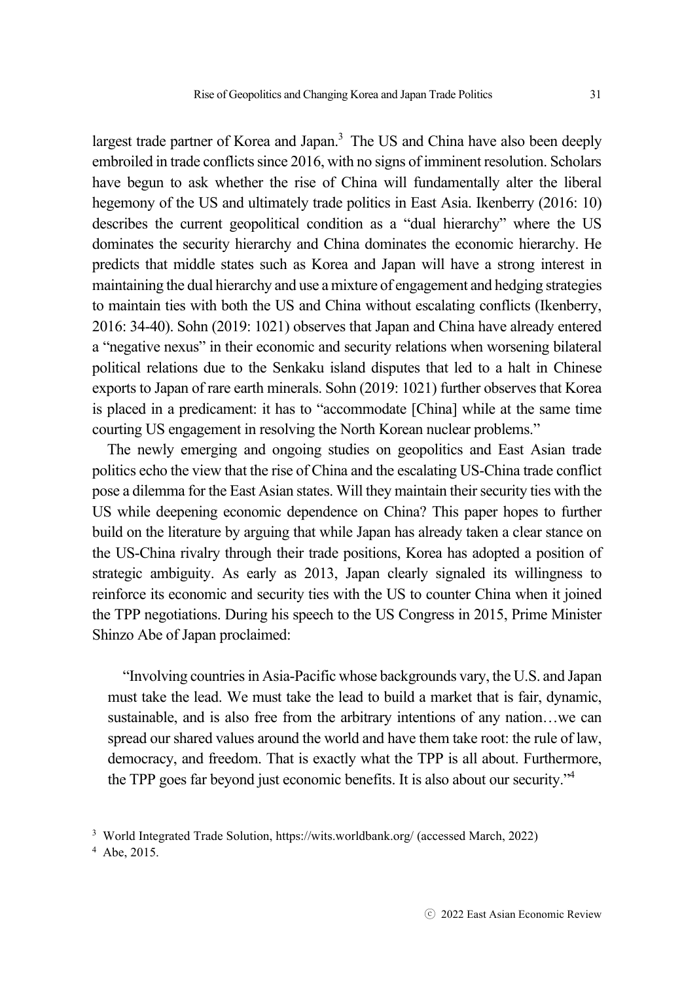largest trade partner of Korea and Japan.<sup>3</sup> The US and China have also been deeply embroiled in trade conflicts since 2016, with no signs of imminent resolution. Scholars have begun to ask whether the rise of China will fundamentally alter the liberal hegemony of the US and ultimately trade politics in East Asia. Ikenberry (2016: 10) describes the current geopolitical condition as a "dual hierarchy" where the US dominates the security hierarchy and China dominates the economic hierarchy. He predicts that middle states such as Korea and Japan will have a strong interest in maintaining the dual hierarchy and use a mixture of engagement and hedging strategies to maintain ties with both the US and China without escalating conflicts (Ikenberry, 2016: 34-40). Sohn (2019: 1021) observes that Japan and China have already entered a "negative nexus" in their economic and security relations when worsening bilateral political relations due to the Senkaku island disputes that led to a halt in Chinese exports to Japan of rare earth minerals. Sohn (2019: 1021) further observes that Korea is placed in a predicament: it has to "accommodate [China] while at the same time courting US engagement in resolving the North Korean nuclear problems."

The newly emerging and ongoing studies on geopolitics and East Asian trade politics echo the view that the rise of China and the escalating US-China trade conflict pose a dilemma for the East Asian states. Will they maintain their security ties with the US while deepening economic dependence on China? This paper hopes to further build on the literature by arguing that while Japan has already taken a clear stance on the US-China rivalry through their trade positions, Korea has adopted a position of strategic ambiguity. As early as 2013, Japan clearly signaled its willingness to reinforce its economic and security ties with the US to counter China when it joined the TPP negotiations. During his speech to the US Congress in 2015, Prime Minister Shinzo Abe of Japan proclaimed:

"Involving countries in Asia-Pacific whose backgrounds vary, the U.S. and Japan must take the lead. We must take the lead to build a market that is fair, dynamic, sustainable, and is also free from the arbitrary intentions of any nation…we can spread our shared values around the world and have them take root: the rule of law, democracy, and freedom. That is exactly what the TPP is all about. Furthermore, the TPP goes far beyond just economic benefits. It is also about our security."<sup>4</sup>

<sup>3</sup> World Integrated Trade Solution, https://wits.worldbank.org/ (accessed March, 2022) 4 Abe, 2015.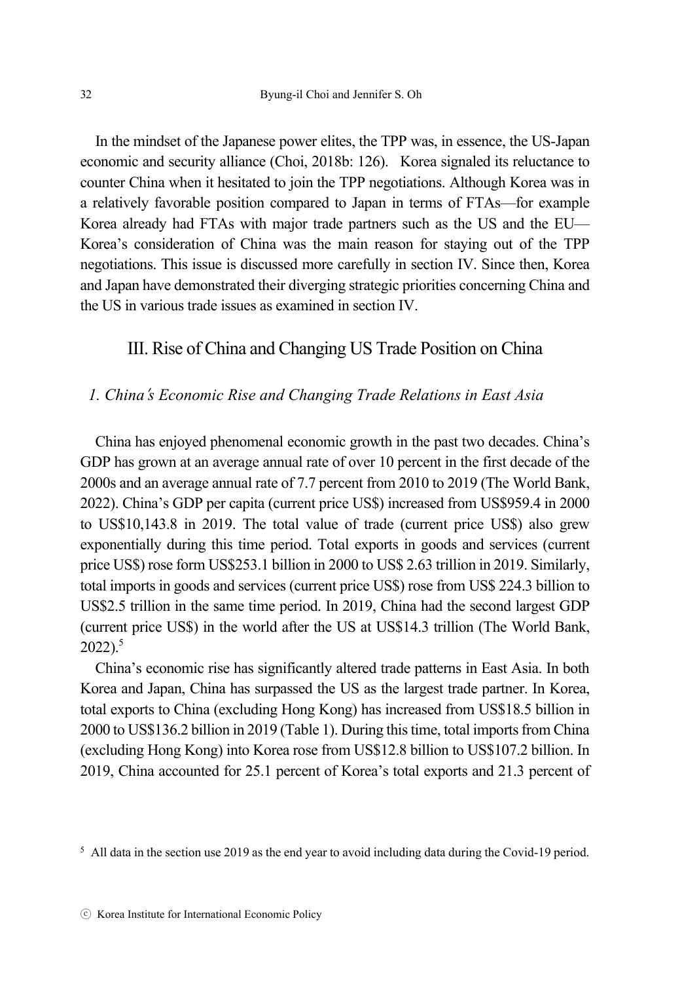In the mindset of the Japanese power elites, the TPP was, in essence, the US-Japan economic and security alliance (Choi, 2018b: 126). Korea signaled its reluctance to counter China when it hesitated to join the TPP negotiations. Although Korea was in a relatively favorable position compared to Japan in terms of FTAs—for example Korea already had FTAs with major trade partners such as the US and the EU— Korea's consideration of China was the main reason for staying out of the TPP negotiations. This issue is discussed more carefully in section IV. Since then, Korea and Japan have demonstrated their diverging strategic priorities concerning China and the US in various trade issues as examined in section IV.

## III. Rise of China and Changing US Trade Position on China

### *1. China*'*s Economic Rise and Changing Trade Relations in East Asia*

China has enjoyed phenomenal economic growth in the past two decades. China's GDP has grown at an average annual rate of over 10 percent in the first decade of the 2000s and an average annual rate of 7.7 percent from 2010 to 2019 (The World Bank, 2022). China's GDP per capita (current price US\$) increased from US\$959.4 in 2000 to US\$10,143.8 in 2019. The total value of trade (current price US\$) also grew exponentially during this time period. Total exports in goods and services (current price US\$) rose form US\$253.1 billion in 2000 to US\$ 2.63 trillion in 2019. Similarly, total imports in goods and services (current price US\$) rose from US\$ 224.3 billion to US\$2.5 trillion in the same time period. In 2019, China had the second largest GDP (current price US\$) in the world after the US at US\$14.3 trillion (The World Bank,  $2022$ ).<sup>5</sup>

China's economic rise has significantly altered trade patterns in East Asia. In both Korea and Japan, China has surpassed the US as the largest trade partner. In Korea, total exports to China (excluding Hong Kong) has increased from US\$18.5 billion in 2000 to US\$136.2 billion in 2019 (Table 1). During this time, total imports from China (excluding Hong Kong) into Korea rose from US\$12.8 billion to US\$107.2 billion. In 2019, China accounted for 25.1 percent of Korea's total exports and 21.3 percent of

<sup>5</sup> All data in the section use 2019 as the end year to avoid including data during the Covid-19 period.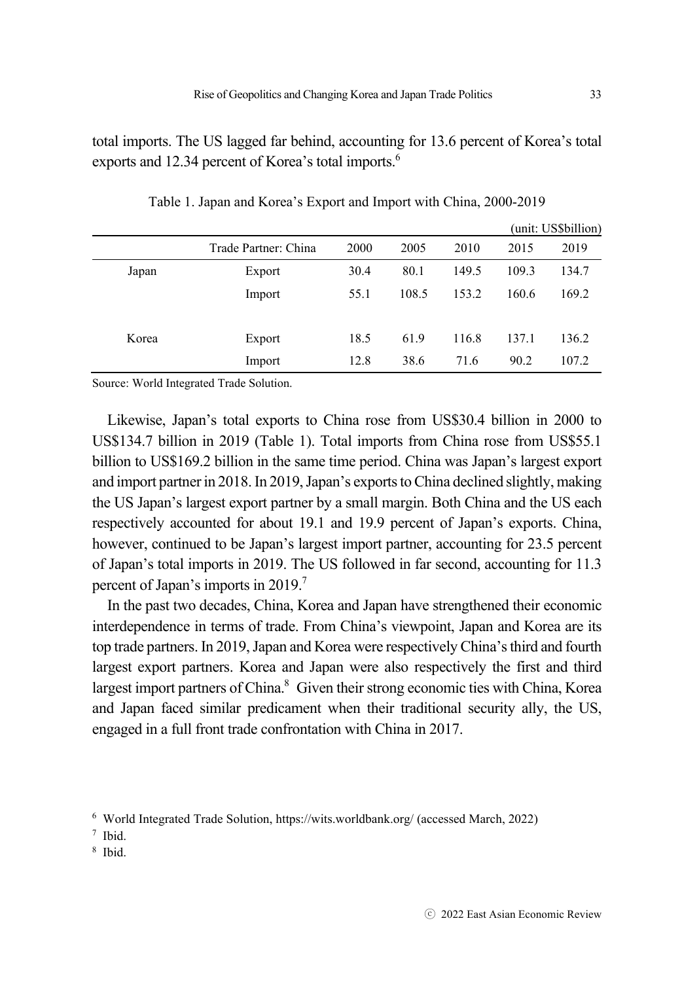total imports. The US lagged far behind, accounting for 13.6 percent of Korea's total exports and 12.34 percent of Korea's total imports.<sup>6</sup>

|       |                      |      |       |       | (unit: US\$billion) |       |
|-------|----------------------|------|-------|-------|---------------------|-------|
|       | Trade Partner: China | 2000 | 2005  | 2010  | 2015                | 2019  |
| Japan | Export               | 30.4 | 80.1  | 149.5 | 109.3               | 134.7 |
|       | Import               | 55.1 | 108.5 | 153.2 | 160.6               | 169.2 |
| Korea | Export               | 18.5 | 61.9  | 116.8 | 137.1               | 136.2 |
|       | Import               | 12.8 | 38.6  | 71.6  | 90.2                | 107.2 |

Table 1. Japan and Korea's Export and Import with China, 2000-2019

Source: World Integrated Trade Solution.

Likewise, Japan's total exports to China rose from US\$30.4 billion in 2000 to US\$134.7 billion in 2019 (Table 1). Total imports from China rose from US\$55.1 billion to US\$169.2 billion in the same time period. China was Japan's largest export and import partner in 2018. In 2019, Japan's exports to China declined slightly, making the US Japan's largest export partner by a small margin. Both China and the US each respectively accounted for about 19.1 and 19.9 percent of Japan's exports. China, however, continued to be Japan's largest import partner, accounting for 23.5 percent of Japan's total imports in 2019. The US followed in far second, accounting for 11.3 percent of Japan's imports in 2019.<sup>7</sup>

In the past two decades, China, Korea and Japan have strengthened their economic interdependence in terms of trade. From China's viewpoint, Japan and Korea are its top trade partners. In 2019, Japan and Korea were respectively China's third and fourth largest export partners. Korea and Japan were also respectively the first and third largest import partners of China.<sup>8</sup> Given their strong economic ties with China, Korea and Japan faced similar predicament when their traditional security ally, the US, engaged in a full front trade confrontation with China in 2017.

8 Ibid.

<sup>&</sup>lt;sup>6</sup> World Integrated Trade Solution, https://wits.worldbank.org/ (accessed March, 2022)  $^7$  Ibid.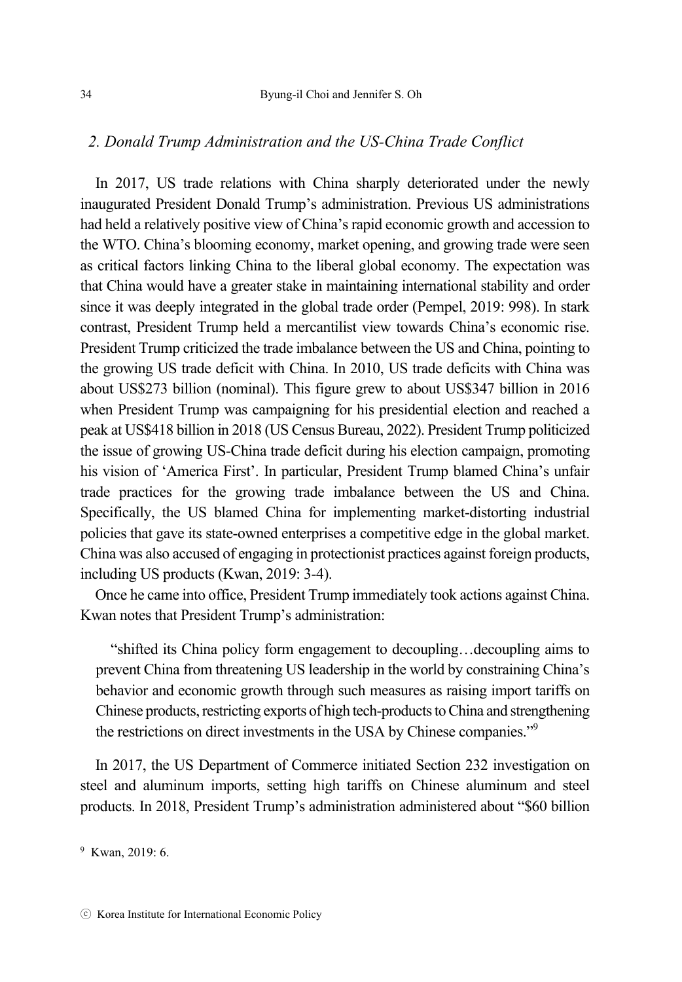#### *2. Donald Trump Administration and the US-China Trade Conflict*

In 2017, US trade relations with China sharply deteriorated under the newly inaugurated President Donald Trump's administration. Previous US administrations had held a relatively positive view of China's rapid economic growth and accession to the WTO. China's blooming economy, market opening, and growing trade were seen as critical factors linking China to the liberal global economy. The expectation was that China would have a greater stake in maintaining international stability and order since it was deeply integrated in the global trade order (Pempel, 2019: 998). In stark contrast, President Trump held a mercantilist view towards China's economic rise. President Trump criticized the trade imbalance between the US and China, pointing to the growing US trade deficit with China. In 2010, US trade deficits with China was about US\$273 billion (nominal). This figure grew to about US\$347 billion in 2016 when President Trump was campaigning for his presidential election and reached a peak at US\$418 billion in 2018 (US Census Bureau, 2022). President Trump politicized the issue of growing US-China trade deficit during his election campaign, promoting his vision of 'America First'. In particular, President Trump blamed China's unfair trade practices for the growing trade imbalance between the US and China. Specifically, the US blamed China for implementing market-distorting industrial policies that gave its state-owned enterprises a competitive edge in the global market. China was also accused of engaging in protectionist practices against foreign products, including US products (Kwan, 2019: 3-4).

Once he came into office, President Trump immediately took actions against China. Kwan notes that President Trump's administration:

"shifted its China policy form engagement to decoupling…decoupling aims to prevent China from threatening US leadership in the world by constraining China's behavior and economic growth through such measures as raising import tariffs on Chinese products, restricting exports of high tech-products to China and strengthening the restrictions on direct investments in the USA by Chinese companies."<sup>9</sup>

In 2017, the US Department of Commerce initiated Section 232 investigation on steel and aluminum imports, setting high tariffs on Chinese aluminum and steel products. In 2018, President Trump's administration administered about "\$60 billion

<sup>9</sup> Kwan, 2019: 6.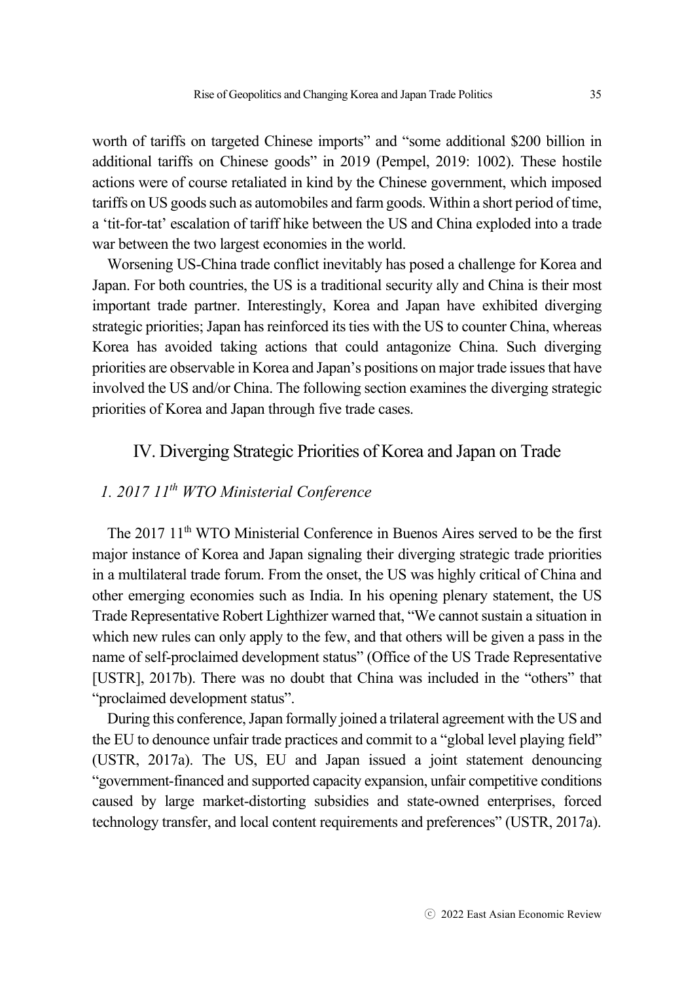worth of tariffs on targeted Chinese imports" and "some additional \$200 billion in additional tariffs on Chinese goods" in 2019 (Pempel, 2019: 1002). These hostile actions were of course retaliated in kind by the Chinese government, which imposed tariffs on US goods such as automobiles and farm goods. Within a short period of time, a 'tit-for-tat' escalation of tariff hike between the US and China exploded into a trade war between the two largest economies in the world.

Worsening US-China trade conflict inevitably has posed a challenge for Korea and Japan. For both countries, the US is a traditional security ally and China is their most important trade partner. Interestingly, Korea and Japan have exhibited diverging strategic priorities; Japan has reinforced its ties with the US to counter China, whereas Korea has avoided taking actions that could antagonize China. Such diverging priorities are observable in Korea and Japan's positions on major trade issues that have involved the US and/or China. The following section examines the diverging strategic priorities of Korea and Japan through five trade cases.

# IV. Diverging Strategic Priorities of Korea and Japan on Trade

# *1. 2017 11th WTO Ministerial Conference*

The 2017 11<sup>th</sup> WTO Ministerial Conference in Buenos Aires served to be the first major instance of Korea and Japan signaling their diverging strategic trade priorities in a multilateral trade forum. From the onset, the US was highly critical of China and other emerging economies such as India. In his opening plenary statement, the US Trade Representative Robert Lighthizer warned that, "We cannot sustain a situation in which new rules can only apply to the few, and that others will be given a pass in the name of self-proclaimed development status" (Office of the US Trade Representative [USTR], 2017b). There was no doubt that China was included in the "others" that "proclaimed development status".

During this conference, Japan formally joined a trilateral agreement with the US and the EU to denounce unfair trade practices and commit to a "global level playing field" (USTR, 2017a). The US, EU and Japan issued a joint statement denouncing "government-financed and supported capacity expansion, unfair competitive conditions caused by large market-distorting subsidies and state-owned enterprises, forced technology transfer, and local content requirements and preferences" (USTR, 2017a).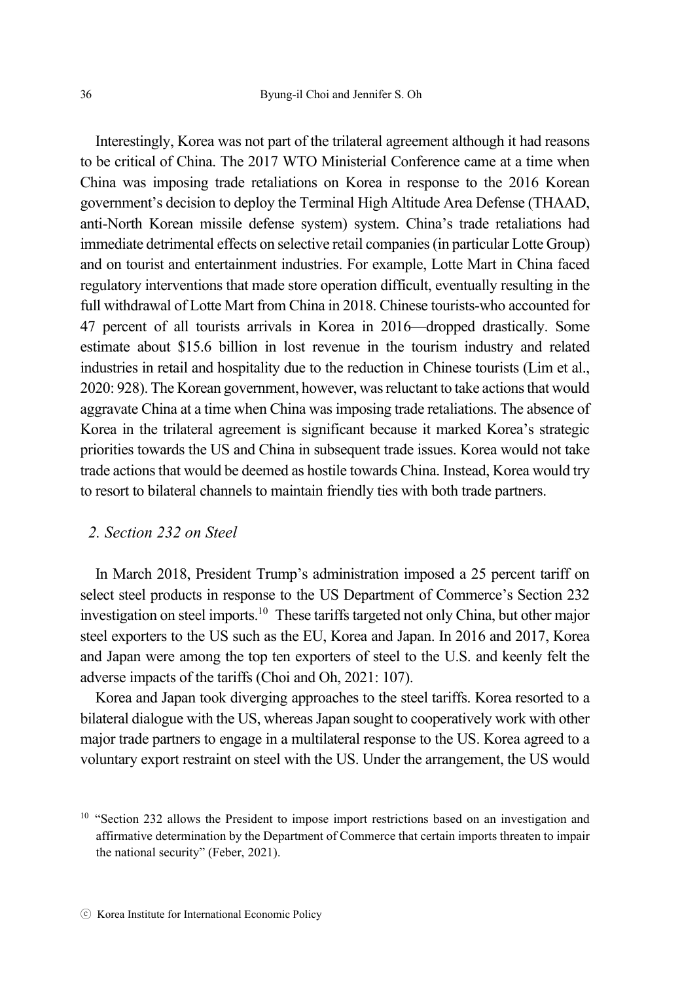Interestingly, Korea was not part of the trilateral agreement although it had reasons to be critical of China. The 2017 WTO Ministerial Conference came at a time when China was imposing trade retaliations on Korea in response to the 2016 Korean government's decision to deploy the Terminal High Altitude Area Defense (THAAD, anti-North Korean missile defense system) system. China's trade retaliations had immediate detrimental effects on selective retail companies (in particular Lotte Group) and on tourist and entertainment industries. For example, Lotte Mart in China faced regulatory interventions that made store operation difficult, eventually resulting in the full withdrawal of Lotte Mart from China in 2018. Chinese tourists-who accounted for 47 percent of all tourists arrivals in Korea in 2016—dropped drastically. Some estimate about \$15.6 billion in lost revenue in the tourism industry and related industries in retail and hospitality due to the reduction in Chinese tourists (Lim et al., 2020: 928). The Korean government, however, was reluctant to take actions that would aggravate China at a time when China was imposing trade retaliations. The absence of Korea in the trilateral agreement is significant because it marked Korea's strategic priorities towards the US and China in subsequent trade issues. Korea would not take trade actions that would be deemed as hostile towards China. Instead, Korea would try to resort to bilateral channels to maintain friendly ties with both trade partners.

### *2. Section 232 on Steel*

In March 2018, President Trump's administration imposed a 25 percent tariff on select steel products in response to the US Department of Commerce's Section 232 investigation on steel imports.<sup>10</sup> These tariffs targeted not only China, but other major steel exporters to the US such as the EU, Korea and Japan. In 2016 and 2017, Korea and Japan were among the top ten exporters of steel to the U.S. and keenly felt the adverse impacts of the tariffs (Choi and Oh, 2021: 107).

Korea and Japan took diverging approaches to the steel tariffs. Korea resorted to a bilateral dialogue with the US, whereas Japan sought to cooperatively work with other major trade partners to engage in a multilateral response to the US. Korea agreed to a voluntary export restraint on steel with the US. Under the arrangement, the US would

<sup>&</sup>lt;sup>10</sup> "Section 232 allows the President to impose import restrictions based on an investigation and affirmative determination by the Department of Commerce that certain imports threaten to impair the national security" (Feber, 2021).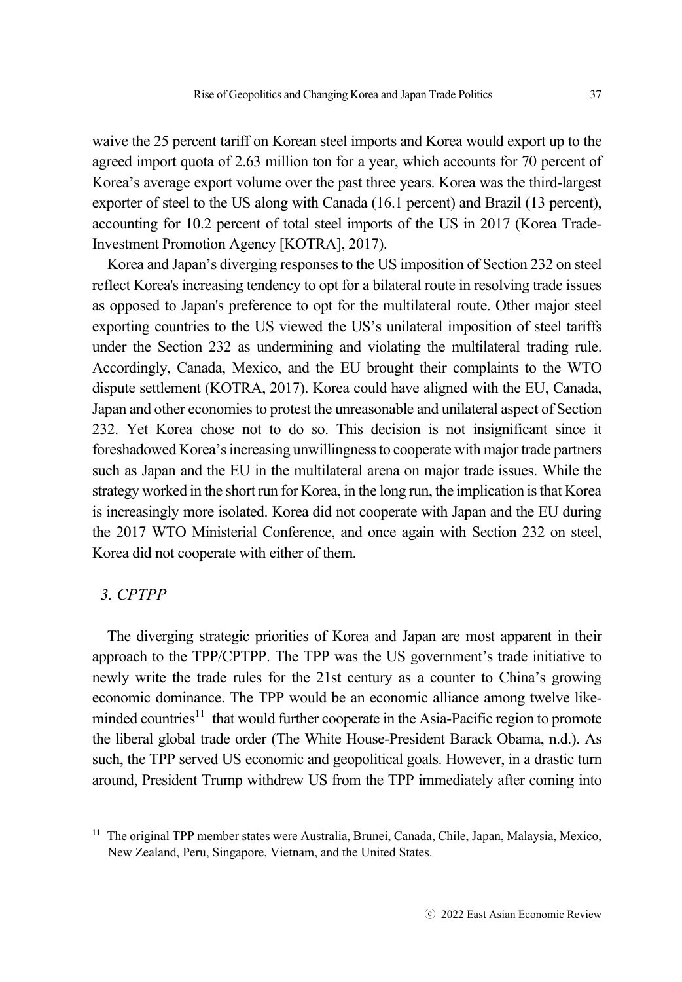waive the 25 percent tariff on Korean steel imports and Korea would export up to the agreed import quota of 2.63 million ton for a year, which accounts for 70 percent of Korea's average export volume over the past three years. Korea was the third-largest exporter of steel to the US along with Canada (16.1 percent) and Brazil (13 percent), accounting for 10.2 percent of total steel imports of the US in 2017 (Korea Trade-Investment Promotion Agency [KOTRA], 2017).

Korea and Japan's diverging responses to the US imposition of Section 232 on steel reflect Korea's increasing tendency to opt for a bilateral route in resolving trade issues as opposed to Japan's preference to opt for the multilateral route. Other major steel exporting countries to the US viewed the US's unilateral imposition of steel tariffs under the Section 232 as undermining and violating the multilateral trading rule. Accordingly, Canada, Mexico, and the EU brought their complaints to the WTO dispute settlement (KOTRA, 2017). Korea could have aligned with the EU, Canada, Japan and other economies to protest the unreasonable and unilateral aspect of Section 232. Yet Korea chose not to do so. This decision is not insignificant since it foreshadowed Korea's increasing unwillingness to cooperate with major trade partners such as Japan and the EU in the multilateral arena on major trade issues. While the strategy worked in the short run for Korea, in the long run, the implication is that Korea is increasingly more isolated. Korea did not cooperate with Japan and the EU during the 2017 WTO Ministerial Conference, and once again with Section 232 on steel, Korea did not cooperate with either of them.

### *3. CPTPP*

The diverging strategic priorities of Korea and Japan are most apparent in their approach to the TPP/CPTPP. The TPP was the US government's trade initiative to newly write the trade rules for the 21st century as a counter to China's growing economic dominance. The TPP would be an economic alliance among twelve likeminded countries<sup>11</sup> that would further cooperate in the Asia-Pacific region to promote the liberal global trade order (The White House-President Barack Obama, n.d.). As such, the TPP served US economic and geopolitical goals. However, in a drastic turn around, President Trump withdrew US from the TPP immediately after coming into

<sup>&</sup>lt;sup>11</sup> The original TPP member states were Australia, Brunei, Canada, Chile, Japan, Malaysia, Mexico, New Zealand, Peru, Singapore, Vietnam, and the United States.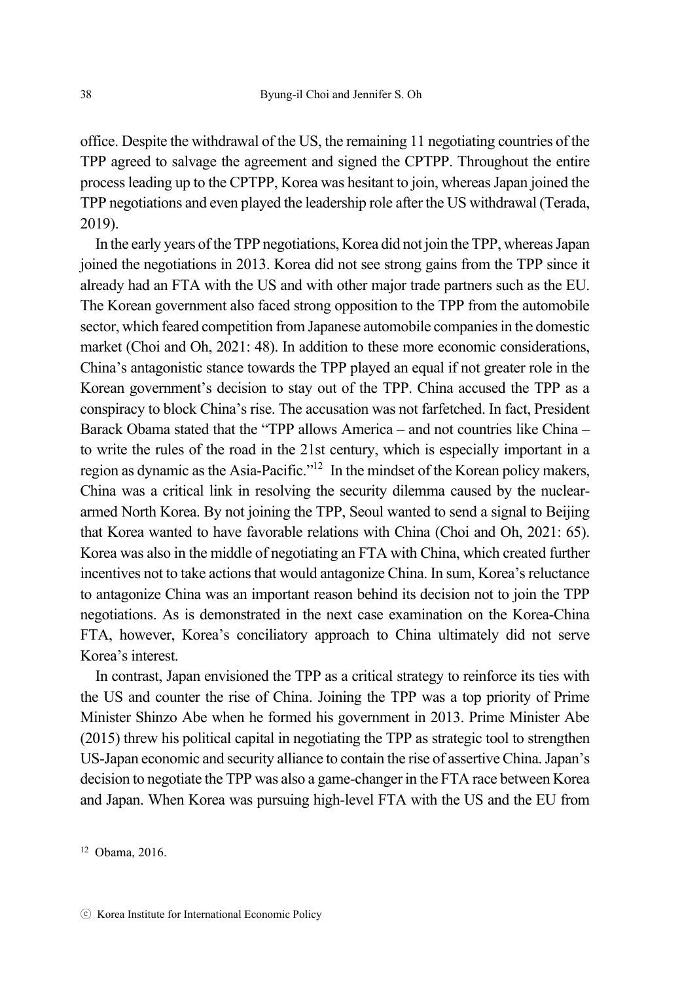office. Despite the withdrawal of the US, the remaining 11 negotiating countries of the TPP agreed to salvage the agreement and signed the CPTPP. Throughout the entire process leading up to the CPTPP, Korea was hesitant to join, whereas Japan joined the TPP negotiations and even played the leadership role after the US withdrawal (Terada, 2019).

In the early years of the TPP negotiations, Korea did not join the TPP, whereas Japan joined the negotiations in 2013. Korea did not see strong gains from the TPP since it already had an FTA with the US and with other major trade partners such as the EU. The Korean government also faced strong opposition to the TPP from the automobile sector, which feared competition from Japanese automobile companies in the domestic market (Choi and Oh, 2021: 48). In addition to these more economic considerations, China's antagonistic stance towards the TPP played an equal if not greater role in the Korean government's decision to stay out of the TPP. China accused the TPP as a conspiracy to block China's rise. The accusation was not farfetched. In fact, President Barack Obama stated that the "TPP allows America – and not countries like China – to write the rules of the road in the 21st century, which is especially important in a region as dynamic as the Asia-Pacific."12 In the mindset of the Korean policy makers, China was a critical link in resolving the security dilemma caused by the nucleararmed North Korea. By not joining the TPP, Seoul wanted to send a signal to Beijing that Korea wanted to have favorable relations with China (Choi and Oh, 2021: 65). Korea was also in the middle of negotiating an FTA with China, which created further incentives not to take actions that would antagonize China. In sum, Korea's reluctance to antagonize China was an important reason behind its decision not to join the TPP negotiations. As is demonstrated in the next case examination on the Korea-China FTA, however, Korea's conciliatory approach to China ultimately did not serve Korea's interest.

In contrast, Japan envisioned the TPP as a critical strategy to reinforce its ties with the US and counter the rise of China. Joining the TPP was a top priority of Prime Minister Shinzo Abe when he formed his government in 2013. Prime Minister Abe (2015) threw his political capital in negotiating the TPP as strategic tool to strengthen US-Japan economic and security alliance to contain the rise of assertive China. Japan's decision to negotiate the TPP was also a game-changer in the FTA race between Korea and Japan. When Korea was pursuing high-level FTA with the US and the EU from

12 Obama, 2016.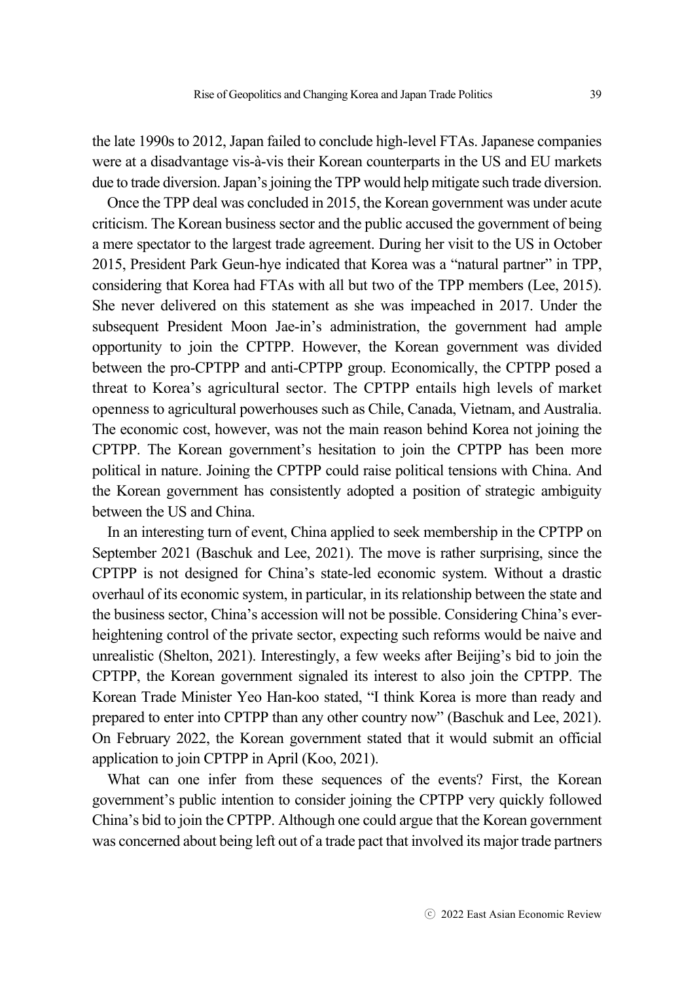the late 1990s to 2012, Japan failed to conclude high-level FTAs. Japanese companies were at a disadvantage vis-à-vis their Korean counterparts in the US and EU markets due to trade diversion. Japan's joining the TPP would help mitigate such trade diversion.

Once the TPP deal was concluded in 2015, the Korean government was under acute criticism. The Korean business sector and the public accused the government of being a mere spectator to the largest trade agreement. During her visit to the US in October 2015, President Park Geun-hye indicated that Korea was a "natural partner" in TPP, considering that Korea had FTAs with all but two of the TPP members (Lee, 2015). She never delivered on this statement as she was impeached in 2017. Under the subsequent President Moon Jae-in's administration, the government had ample opportunity to join the CPTPP. However, the Korean government was divided between the pro-CPTPP and anti-CPTPP group. Economically, the CPTPP posed a threat to Korea's agricultural sector. The CPTPP entails high levels of market openness to agricultural powerhouses such as Chile, Canada, Vietnam, and Australia. The economic cost, however, was not the main reason behind Korea not joining the CPTPP. The Korean government's hesitation to join the CPTPP has been more political in nature. Joining the CPTPP could raise political tensions with China. And the Korean government has consistently adopted a position of strategic ambiguity between the US and China.

In an interesting turn of event, China applied to seek membership in the CPTPP on September 2021 (Baschuk and Lee, 2021). The move is rather surprising, since the CPTPP is not designed for China's state-led economic system. Without a drastic overhaul of its economic system, in particular, in its relationship between the state and the business sector, China's accession will not be possible. Considering China's everheightening control of the private sector, expecting such reforms would be naive and unrealistic (Shelton, 2021). Interestingly, a few weeks after Beijing's bid to join the CPTPP, the Korean government signaled its interest to also join the CPTPP. The Korean Trade Minister Yeo Han-koo stated, "I think Korea is more than ready and prepared to enter into CPTPP than any other country now" (Baschuk and Lee, 2021). On February 2022, the Korean government stated that it would submit an official application to join CPTPP in April (Koo, 2021).

What can one infer from these sequences of the events? First, the Korean government's public intention to consider joining the CPTPP very quickly followed China's bid to join the CPTPP. Although one could argue that the Korean government was concerned about being left out of a trade pact that involved its major trade partners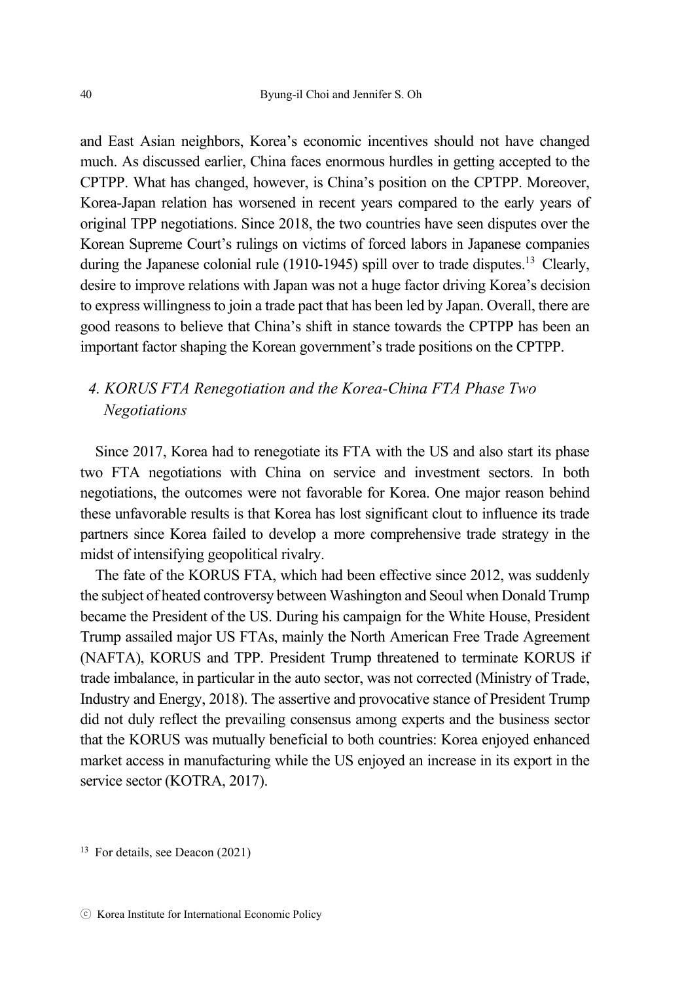and East Asian neighbors, Korea's economic incentives should not have changed much. As discussed earlier, China faces enormous hurdles in getting accepted to the CPTPP. What has changed, however, is China's position on the CPTPP. Moreover, Korea-Japan relation has worsened in recent years compared to the early years of original TPP negotiations. Since 2018, the two countries have seen disputes over the Korean Supreme Court's rulings on victims of forced labors in Japanese companies during the Japanese colonial rule (1910-1945) spill over to trade disputes.<sup>13</sup> Clearly, desire to improve relations with Japan was not a huge factor driving Korea's decision to express willingness to join a trade pact that has been led by Japan. Overall, there are good reasons to believe that China's shift in stance towards the CPTPP has been an important factor shaping the Korean government's trade positions on the CPTPP.

# *4. KORUS FTA Renegotiation and the Korea-China FTA Phase Two Negotiations*

Since 2017, Korea had to renegotiate its FTA with the US and also start its phase two FTA negotiations with China on service and investment sectors. In both negotiations, the outcomes were not favorable for Korea. One major reason behind these unfavorable results is that Korea has lost significant clout to influence its trade partners since Korea failed to develop a more comprehensive trade strategy in the midst of intensifying geopolitical rivalry.

The fate of the KORUS FTA, which had been effective since 2012, was suddenly the subject of heated controversy between Washington and Seoul when Donald Trump became the President of the US. During his campaign for the White House, President Trump assailed major US FTAs, mainly the North American Free Trade Agreement (NAFTA), KORUS and TPP. President Trump threatened to terminate KORUS if trade imbalance, in particular in the auto sector, was not corrected (Ministry of Trade, Industry and Energy, 2018). The assertive and provocative stance of President Trump did not duly reflect the prevailing consensus among experts and the business sector that the KORUS was mutually beneficial to both countries: Korea enjoyed enhanced market access in manufacturing while the US enjoyed an increase in its export in the service sector (KOTRA, 2017).

<sup>13</sup> For details, see Deacon (2021)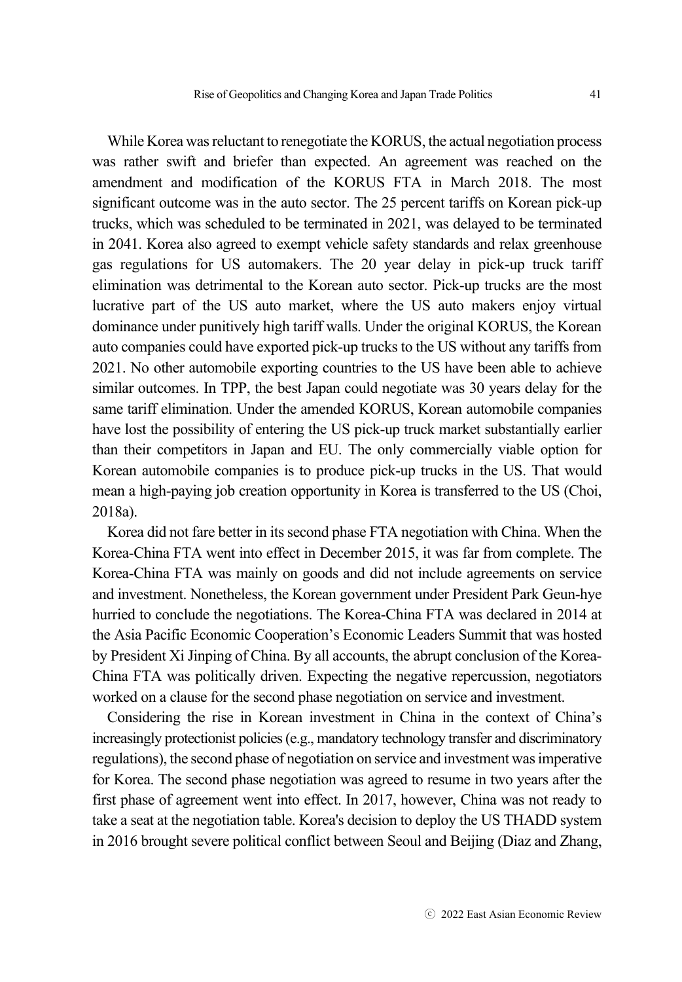While Korea was reluctant to renegotiate the KORUS, the actual negotiation process was rather swift and briefer than expected. An agreement was reached on the amendment and modification of the KORUS FTA in March 2018. The most significant outcome was in the auto sector. The 25 percent tariffs on Korean pick-up trucks, which was scheduled to be terminated in 2021, was delayed to be terminated in 2041. Korea also agreed to exempt vehicle safety standards and relax greenhouse gas regulations for US automakers. The 20 year delay in pick-up truck tariff elimination was detrimental to the Korean auto sector. Pick-up trucks are the most lucrative part of the US auto market, where the US auto makers enjoy virtual dominance under punitively high tariff walls. Under the original KORUS, the Korean auto companies could have exported pick-up trucks to the US without any tariffs from 2021. No other automobile exporting countries to the US have been able to achieve similar outcomes. In TPP, the best Japan could negotiate was 30 years delay for the same tariff elimination. Under the amended KORUS, Korean automobile companies have lost the possibility of entering the US pick-up truck market substantially earlier than their competitors in Japan and EU. The only commercially viable option for Korean automobile companies is to produce pick-up trucks in the US. That would mean a high-paying job creation opportunity in Korea is transferred to the US (Choi, 2018a).

Korea did not fare better in its second phase FTA negotiation with China. When the Korea-China FTA went into effect in December 2015, it was far from complete. The Korea-China FTA was mainly on goods and did not include agreements on service and investment. Nonetheless, the Korean government under President Park Geun-hye hurried to conclude the negotiations. The Korea-China FTA was declared in 2014 at the Asia Pacific Economic Cooperation's Economic Leaders Summit that was hosted by President Xi Jinping of China. By all accounts, the abrupt conclusion of the Korea-China FTA was politically driven. Expecting the negative repercussion, negotiators worked on a clause for the second phase negotiation on service and investment.

Considering the rise in Korean investment in China in the context of China's increasingly protectionist policies (e.g., mandatory technology transfer and discriminatory regulations), the second phase of negotiation on service and investment was imperative for Korea. The second phase negotiation was agreed to resume in two years after the first phase of agreement went into effect. In 2017, however, China was not ready to take a seat at the negotiation table. Korea's decision to deploy the US THADD system in 2016 brought severe political conflict between Seoul and Beijing (Diaz and Zhang,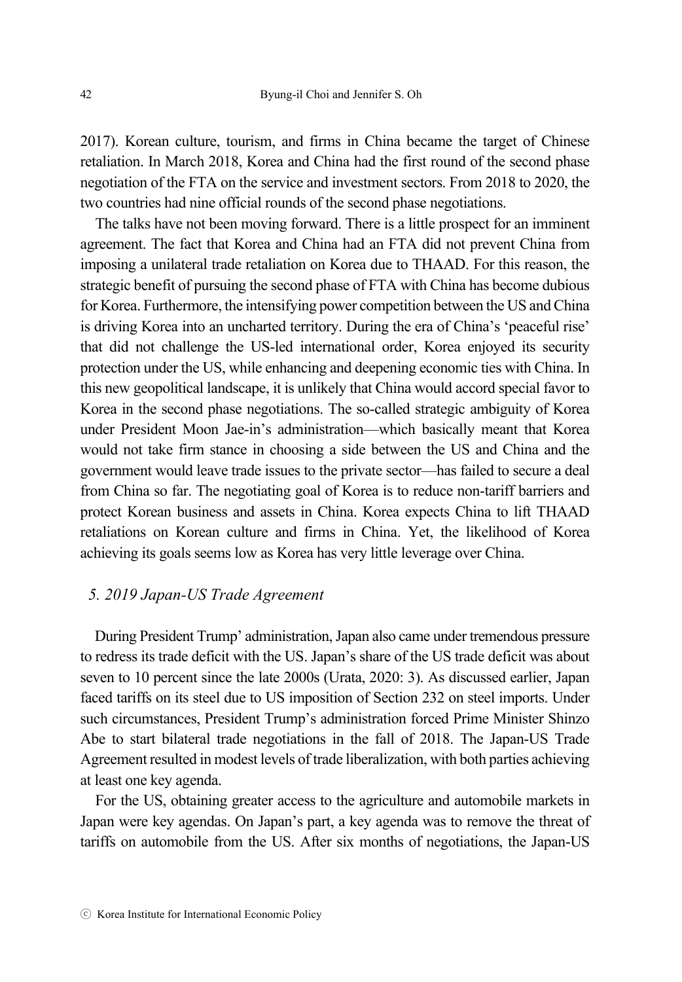2017). Korean culture, tourism, and firms in China became the target of Chinese retaliation. In March 2018, Korea and China had the first round of the second phase negotiation of the FTA on the service and investment sectors. From 2018 to 2020, the two countries had nine official rounds of the second phase negotiations.

The talks have not been moving forward. There is a little prospect for an imminent agreement. The fact that Korea and China had an FTA did not prevent China from imposing a unilateral trade retaliation on Korea due to THAAD. For this reason, the strategic benefit of pursuing the second phase of FTA with China has become dubious for Korea. Furthermore, the intensifying power competition between the US and China is driving Korea into an uncharted territory. During the era of China's 'peaceful rise' that did not challenge the US-led international order, Korea enjoyed its security protection under the US, while enhancing and deepening economic ties with China. In this new geopolitical landscape, it is unlikely that China would accord special favor to Korea in the second phase negotiations. The so-called strategic ambiguity of Korea under President Moon Jae-in's administration—which basically meant that Korea would not take firm stance in choosing a side between the US and China and the government would leave trade issues to the private sector—has failed to secure a deal from China so far. The negotiating goal of Korea is to reduce non-tariff barriers and protect Korean business and assets in China. Korea expects China to lift THAAD retaliations on Korean culture and firms in China. Yet, the likelihood of Korea achieving its goals seems low as Korea has very little leverage over China.

#### *5. 2019 Japan-US Trade Agreement*

During President Trump' administration, Japan also came under tremendous pressure to redress its trade deficit with the US. Japan's share of the US trade deficit was about seven to 10 percent since the late 2000s (Urata, 2020: 3). As discussed earlier, Japan faced tariffs on its steel due to US imposition of Section 232 on steel imports. Under such circumstances, President Trump's administration forced Prime Minister Shinzo Abe to start bilateral trade negotiations in the fall of 2018. The Japan-US Trade Agreement resulted in modest levels of trade liberalization, with both parties achieving at least one key agenda.

For the US, obtaining greater access to the agriculture and automobile markets in Japan were key agendas. On Japan's part, a key agenda was to remove the threat of tariffs on automobile from the US. After six months of negotiations, the Japan-US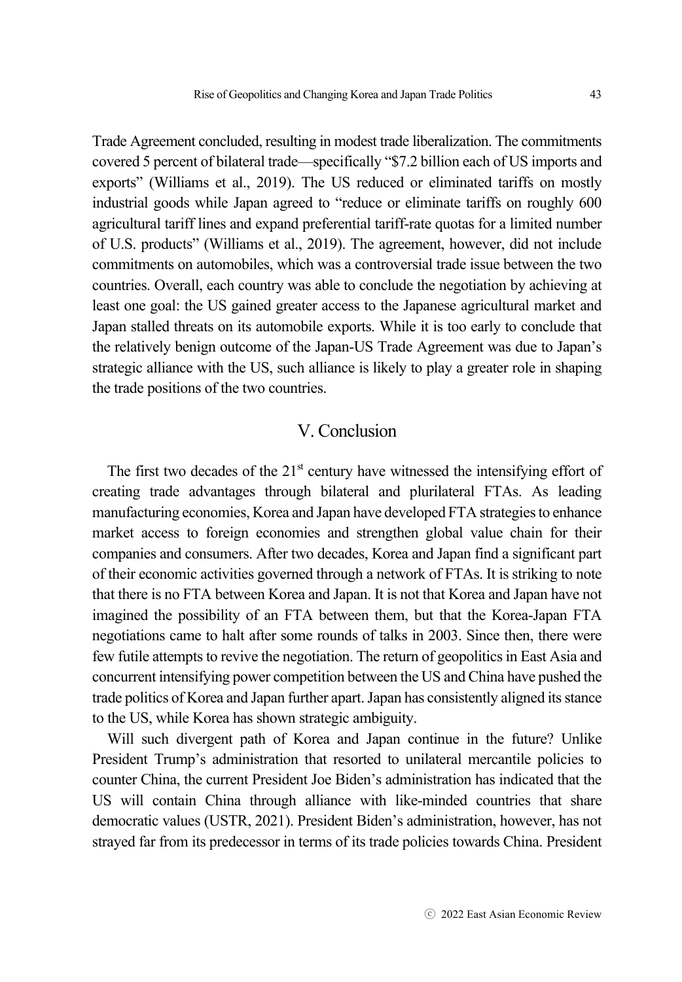Trade Agreement concluded, resulting in modest trade liberalization. The commitments covered 5 percent of bilateral trade—specifically "\$7.2 billion each of US imports and exports" (Williams et al., 2019). The US reduced or eliminated tariffs on mostly industrial goods while Japan agreed to "reduce or eliminate tariffs on roughly 600 agricultural tariff lines and expand preferential tariff-rate quotas for a limited number of U.S. products" (Williams et al., 2019). The agreement, however, did not include commitments on automobiles, which was a controversial trade issue between the two countries. Overall, each country was able to conclude the negotiation by achieving at least one goal: the US gained greater access to the Japanese agricultural market and Japan stalled threats on its automobile exports. While it is too early to conclude that the relatively benign outcome of the Japan-US Trade Agreement was due to Japan's strategic alliance with the US, such alliance is likely to play a greater role in shaping the trade positions of the two countries.

## V. Conclusion

The first two decades of the  $21<sup>st</sup>$  century have witnessed the intensifying effort of creating trade advantages through bilateral and plurilateral FTAs. As leading manufacturing economies, Korea and Japan have developed FTA strategies to enhance market access to foreign economies and strengthen global value chain for their companies and consumers. After two decades, Korea and Japan find a significant part of their economic activities governed through a network of FTAs. It is striking to note that there is no FTA between Korea and Japan. It is not that Korea and Japan have not imagined the possibility of an FTA between them, but that the Korea-Japan FTA negotiations came to halt after some rounds of talks in 2003. Since then, there were few futile attempts to revive the negotiation. The return of geopolitics in East Asia and concurrent intensifying power competition between the US and China have pushed the trade politics of Korea and Japan further apart. Japan has consistently aligned its stance to the US, while Korea has shown strategic ambiguity.

Will such divergent path of Korea and Japan continue in the future? Unlike President Trump's administration that resorted to unilateral mercantile policies to counter China, the current President Joe Biden's administration has indicated that the US will contain China through alliance with like-minded countries that share democratic values (USTR, 2021). President Biden's administration, however, has not strayed far from its predecessor in terms of its trade policies towards China. President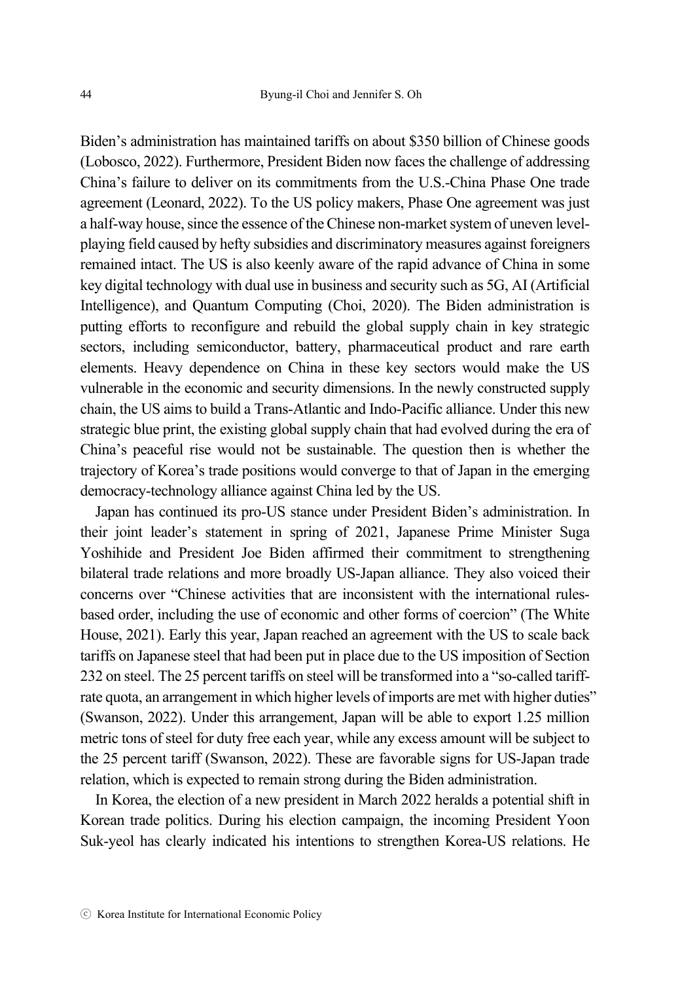Biden's administration has maintained tariffs on about \$350 billion of Chinese goods (Lobosco, 2022). Furthermore, President Biden now faces the challenge of addressing China's failure to deliver on its commitments from the U.S.-China Phase One trade agreement (Leonard, 2022). To the US policy makers, Phase One agreement was just a half-way house, since the essence of the Chinese non-market system of uneven levelplaying field caused by hefty subsidies and discriminatory measures against foreigners remained intact. The US is also keenly aware of the rapid advance of China in some key digital technology with dual use in business and security such as 5G, AI (Artificial Intelligence), and Quantum Computing (Choi, 2020). The Biden administration is putting efforts to reconfigure and rebuild the global supply chain in key strategic sectors, including semiconductor, battery, pharmaceutical product and rare earth elements. Heavy dependence on China in these key sectors would make the US vulnerable in the economic and security dimensions. In the newly constructed supply chain, the US aims to build a Trans-Atlantic and Indo-Pacific alliance. Under this new strategic blue print, the existing global supply chain that had evolved during the era of China's peaceful rise would not be sustainable. The question then is whether the trajectory of Korea's trade positions would converge to that of Japan in the emerging democracy-technology alliance against China led by the US.

Japan has continued its pro-US stance under President Biden's administration. In their joint leader's statement in spring of 2021, Japanese Prime Minister Suga Yoshihide and President Joe Biden affirmed their commitment to strengthening bilateral trade relations and more broadly US-Japan alliance. They also voiced their concerns over "Chinese activities that are inconsistent with the international rulesbased order, including the use of economic and other forms of coercion" (The White House, 2021). Early this year, Japan reached an agreement with the US to scale back tariffs on Japanese steel that had been put in place due to the US imposition of Section 232 on steel. The 25 percent tariffs on steel will be transformed into a "so-called tariffrate quota, an arrangement in which higher levels of imports are met with higher duties" (Swanson, 2022). Under this arrangement, Japan will be able to export 1.25 million metric tons of steel for duty free each year, while any excess amount will be subject to the 25 percent tariff (Swanson, 2022). These are favorable signs for US-Japan trade relation, which is expected to remain strong during the Biden administration.

In Korea, the election of a new president in March 2022 heralds a potential shift in Korean trade politics. During his election campaign, the incoming President Yoon Suk-yeol has clearly indicated his intentions to strengthen Korea-US relations. He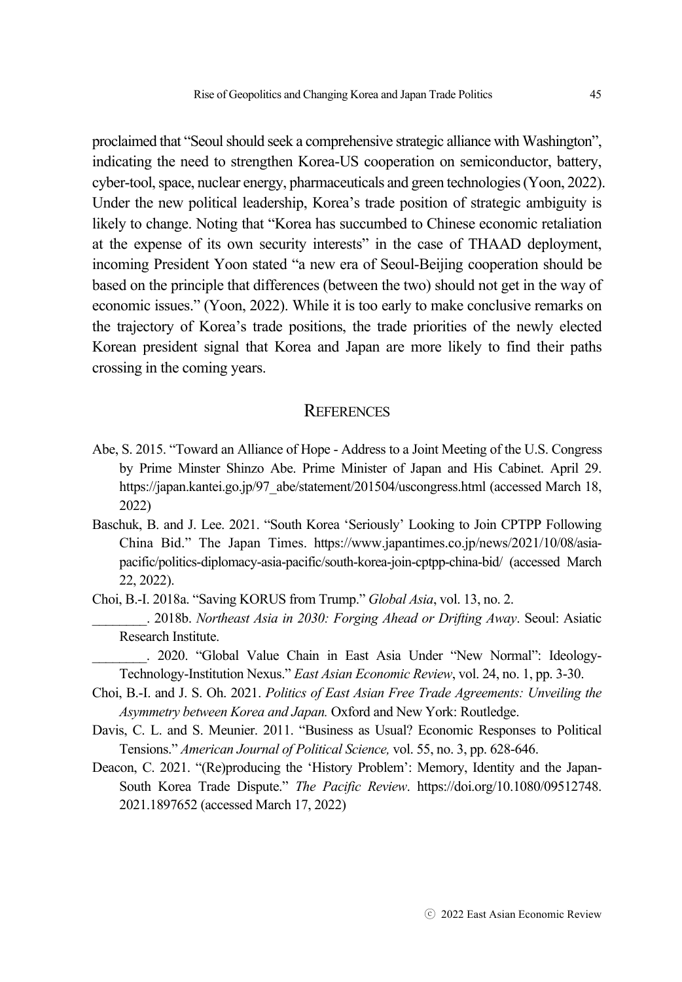proclaimed that "Seoul should seek a comprehensive strategic alliance with Washington", indicating the need to strengthen Korea-US cooperation on semiconductor, battery, cyber-tool, space, nuclear energy, pharmaceuticals and green technologies (Yoon, 2022). Under the new political leadership, Korea's trade position of strategic ambiguity is likely to change. Noting that "Korea has succumbed to Chinese economic retaliation at the expense of its own security interests" in the case of THAAD deployment, incoming President Yoon stated "a new era of Seoul-Beijing cooperation should be based on the principle that differences (between the two) should not get in the way of economic issues." (Yoon, 2022). While it is too early to make conclusive remarks on the trajectory of Korea's trade positions, the trade priorities of the newly elected Korean president signal that Korea and Japan are more likely to find their paths crossing in the coming years.

### **REFERENCES**

- Abe, S. 2015. "Toward an Alliance of Hope Address to a Joint Meeting of the U.S. Congress by Prime Minster Shinzo Abe. Prime Minister of Japan and His Cabinet. April 29. https://japan.kantei.go.jp/97\_abe/statement/201504/uscongress.html (accessed March 18, 2022)
- Baschuk, B. and J. Lee. 2021. "South Korea 'Seriously' Looking to Join CPTPP Following China Bid." The Japan Times. https://www.japantimes.co.jp/news/2021/10/08/asiapacific/politics-diplomacy-asia-pacific/south-korea-join-cptpp-china-bid/ (accessed March 22, 2022).

Choi, B.-I. 2018a. "Saving KORUS from Trump." *Global Asia*, vol. 13, no. 2.

\_\_\_\_\_\_\_\_. 2018b. *Northeast Asia in 2030: Forging Ahead or Drifting Away*. Seoul: Asiatic Research Institute.

\_\_\_\_\_\_\_\_. 2020. "Global Value Chain in East Asia Under "New Normal": Ideology-Technology-Institution Nexus." *East Asian Economic Review*, vol. 24, no. 1, pp. 3-30.

- Choi, B.-I. and J. S. Oh. 2021. *Politics of East Asian Free Trade Agreements: Unveiling the Asymmetry between Korea and Japan.* Oxford and New York: Routledge.
- Davis, C. L. and S. Meunier. 2011. "Business as Usual? Economic Responses to Political Tensions." *American Journal of Political Science,* vol. 55, no. 3, pp. 628-646.
- Deacon, C. 2021. "(Re)producing the 'History Problem': Memory, Identity and the Japan-South Korea Trade Dispute." *The Pacific Review*. https://doi.org/10.1080/09512748. 2021.1897652 (accessed March 17, 2022)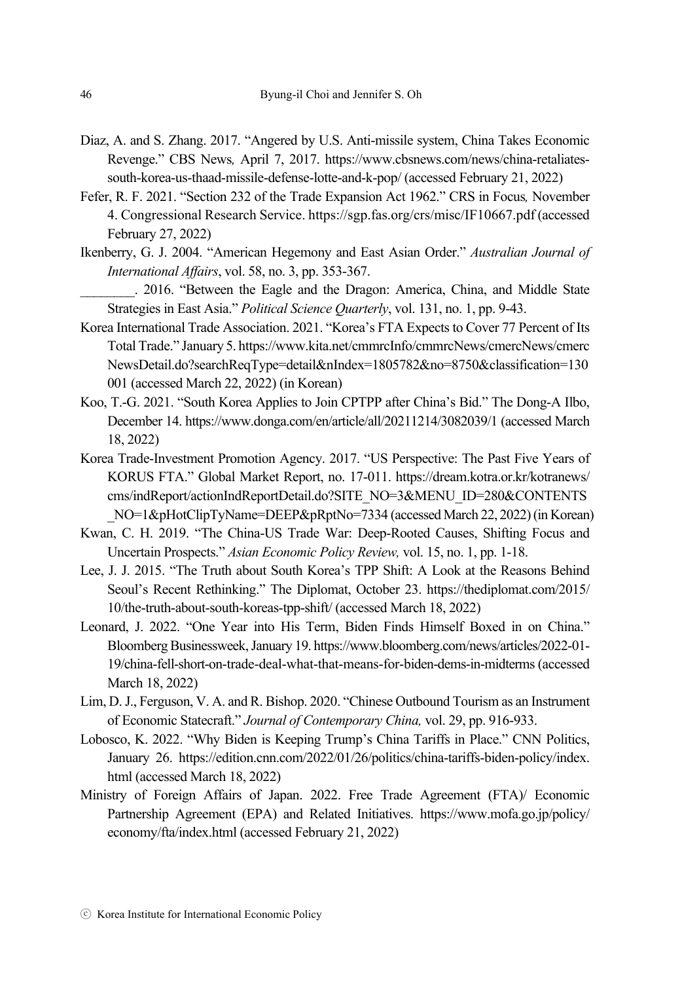- Diaz, A. and S. Zhang. 2017. "Angered by U.S. Anti-missile system, China Takes Economic Revenge." CBS News*,* April 7, 2017. https://www.cbsnews.com/news/china-retaliatessouth-korea-us-thaad-missile-defense-lotte-and-k-pop/ (accessed February 21, 2022)
- Fefer, R. F. 2021. "Section 232 of the Trade Expansion Act 1962." CRS in Focus*,* November 4. Congressional Research Service. https://sgp.fas.org/crs/misc/IF10667.pdf (accessed February 27, 2022)
- Ikenberry, G. J. 2004. "American Hegemony and East Asian Order." *Australian Journal of International Affairs*, vol. 58, no. 3, pp. 353-367.
	- \_\_\_\_\_\_\_\_. 2016. "Between the Eagle and the Dragon: America, China, and Middle State Strategies in East Asia." *Political Science Quarterly*, vol. 131, no. 1, pp. 9-43.
- Korea International Trade Association. 2021. "Korea's FTA Expects to Cover 77 Percent of Its Total Trade." January 5. https://www.kita.net/cmmrcInfo/cmmrcNews/cmercNews/cmerc NewsDetail.do?searchReqType=detail&nIndex=1805782&no=8750&classification=130 001 (accessed March 22, 2022) (in Korean)
- Koo, T.-G. 2021. "South Korea Applies to Join CPTPP after China's Bid." The Dong-A Ilbo, December 14. https://www.donga.com/en/article/all/20211214/3082039/1 (accessed March 18, 2022)
- Korea Trade-Investment Promotion Agency. 2017. "US Perspective: The Past Five Years of KORUS FTA." Global Market Report, no. 17-011. https://dream.kotra.or.kr/kotranews/ cms/indReport/actionIndReportDetail.do?SITE\_NO=3&MENU\_ID=280&CONTENTS NO=1&pHotClipTyName=DEEP&pRptNo=7334 (accessed March 22, 2022) (in Korean)
- Kwan, C. H. 2019. "The China-US Trade War: Deep-Rooted Causes, Shifting Focus and Uncertain Prospects." *Asian Economic Policy Review,* vol. 15, no. 1, pp. 1-18.
- Lee, J. J. 2015. "The Truth about South Korea's TPP Shift: A Look at the Reasons Behind Seoul's Recent Rethinking." The Diplomat, October 23. https://thediplomat.com/2015/ 10/the-truth-about-south-koreas-tpp-shift/ (accessed March 18, 2022)
- Leonard, J. 2022. "One Year into His Term, Biden Finds Himself Boxed in on China." Bloomberg Businessweek, January 19. https://www.bloomberg.com/news/articles/2022-01- 19/china-fell-short-on-trade-deal-what-that-means-for-biden-dems-in-midterms (accessed March 18, 2022)
- Lim, D. J., Ferguson, V. A. and R. Bishop. 2020. "Chinese Outbound Tourism as an Instrument of Economic Statecraft." *Journal of Contemporary China,* vol. 29, pp. 916-933.
- Lobosco, K. 2022. "Why Biden is Keeping Trump's China Tariffs in Place." CNN Politics, January 26. https://edition.cnn.com/2022/01/26/politics/china-tariffs-biden-policy/index. html (accessed March 18, 2022)
- Ministry of Foreign Affairs of Japan. 2022. Free Trade Agreement (FTA)/ Economic Partnership Agreement (EPA) and Related Initiatives. https://www.mofa.go.jp/policy/ economy/fta/index.html (accessed February 21, 2022)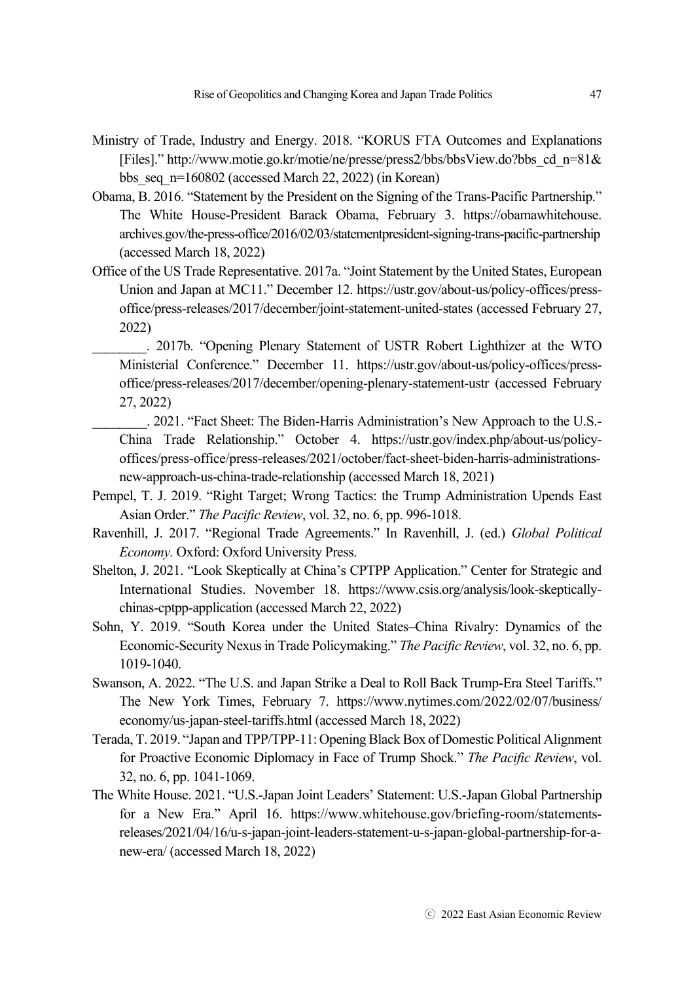- Ministry of Trade, Industry and Energy. 2018. "KORUS FTA Outcomes and Explanations [Files]." http://www.motie.go.kr/motie/ne/presse/press2/bbs/bbsView.do?bbs\_cd\_n=81& bbs seq  $n=160802$  (accessed March 22, 2022) (in Korean)
- Obama, B. 2016. "Statement by the President on the Signing of the Trans-Pacific Partnership." The White House-President Barack Obama, February 3. https://obamawhitehouse. archives.gov/the-press-office/2016/02/03/statementpresident-signing-trans-pacific-partnership (accessed March 18, 2022)
- Office of the US Trade Representative. 2017a. "Joint Statement by the United States, European Union and Japan at MC11." December 12. https://ustr.gov/about-us/policy-offices/pressoffice/press-releases/2017/december/joint-statement-united-states (accessed February 27, 2022)
	- \_\_\_\_\_\_\_\_. 2017b. "Opening Plenary Statement of USTR Robert Lighthizer at the WTO Ministerial Conference." December 11. https://ustr.gov/about-us/policy-offices/pressoffice/press-releases/2017/december/opening-plenary-statement-ustr (accessed February 27, 2022)
	- \_\_\_\_\_\_\_\_. 2021. "Fact Sheet: The Biden-Harris Administration's New Approach to the U.S.- China Trade Relationship." October 4. https://ustr.gov/index.php/about-us/policyoffices/press-office/press-releases/2021/october/fact-sheet-biden-harris-administrationsnew-approach-us-china-trade-relationship (accessed March 18, 2021)
- Pempel, T. J. 2019. "Right Target; Wrong Tactics: the Trump Administration Upends East Asian Order." *The Pacific Review*, vol. 32, no. 6, pp. 996-1018.
- Ravenhill, J. 2017. "Regional Trade Agreements." In Ravenhill, J. (ed.) *Global Political Economy.* Oxford: Oxford University Press.
- Shelton, J. 2021. "Look Skeptically at China's CPTPP Application." Center for Strategic and International Studies. November 18. https://www.csis.org/analysis/look-skepticallychinas-cptpp-application (accessed March 22, 2022)
- Sohn, Y. 2019. "South Korea under the United States–China Rivalry: Dynamics of the Economic-Security Nexus in Trade Policymaking." *The Pacific Review*, vol. 32, no. 6, pp. 1019-1040.
- Swanson, A. 2022. "The U.S. and Japan Strike a Deal to Roll Back Trump-Era Steel Tariffs." The New York Times, February 7. https://www.nytimes.com/2022/02/07/business/ economy/us-japan-steel-tariffs.html (accessed March 18, 2022)
- Terada, T. 2019. "Japan and TPP/TPP-11: Opening Black Box of Domestic Political Alignment for Proactive Economic Diplomacy in Face of Trump Shock." *The Pacific Review*, vol. 32, no. 6, pp. 1041-1069.
- The White House. 2021. "U.S.-Japan Joint Leaders' Statement: U.S.-Japan Global Partnership for a New Era." April 16. https://www.whitehouse.gov/briefing-room/statementsreleases/2021/04/16/u-s-japan-joint-leaders-statement-u-s-japan-global-partnership-for-anew-era/ (accessed March 18, 2022)